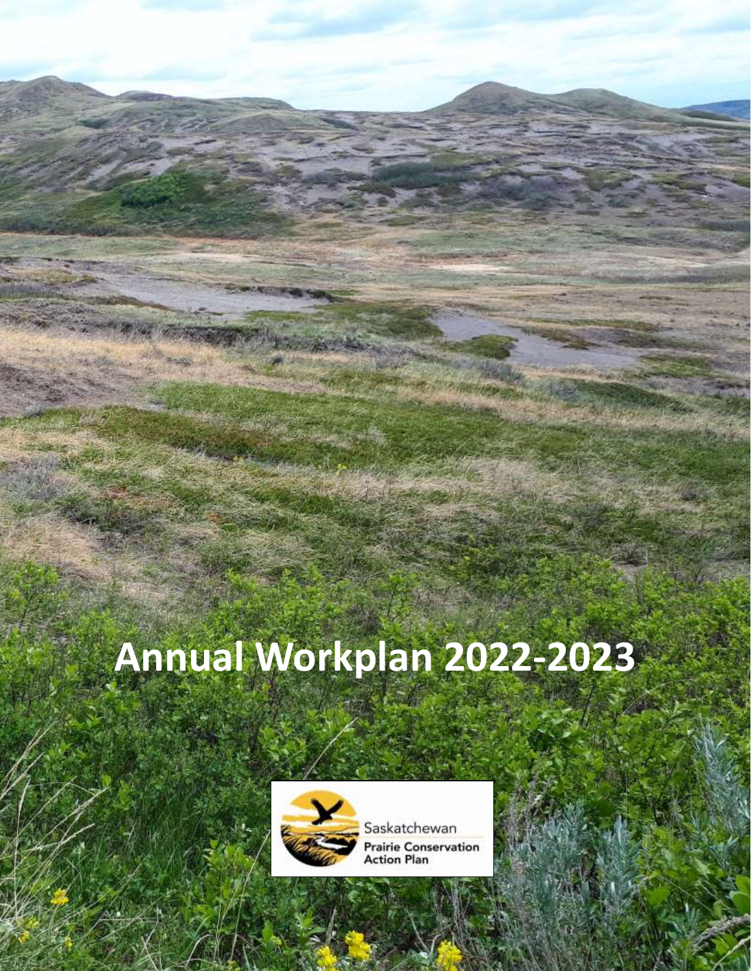# **Annual Workplan 2022-2023**



i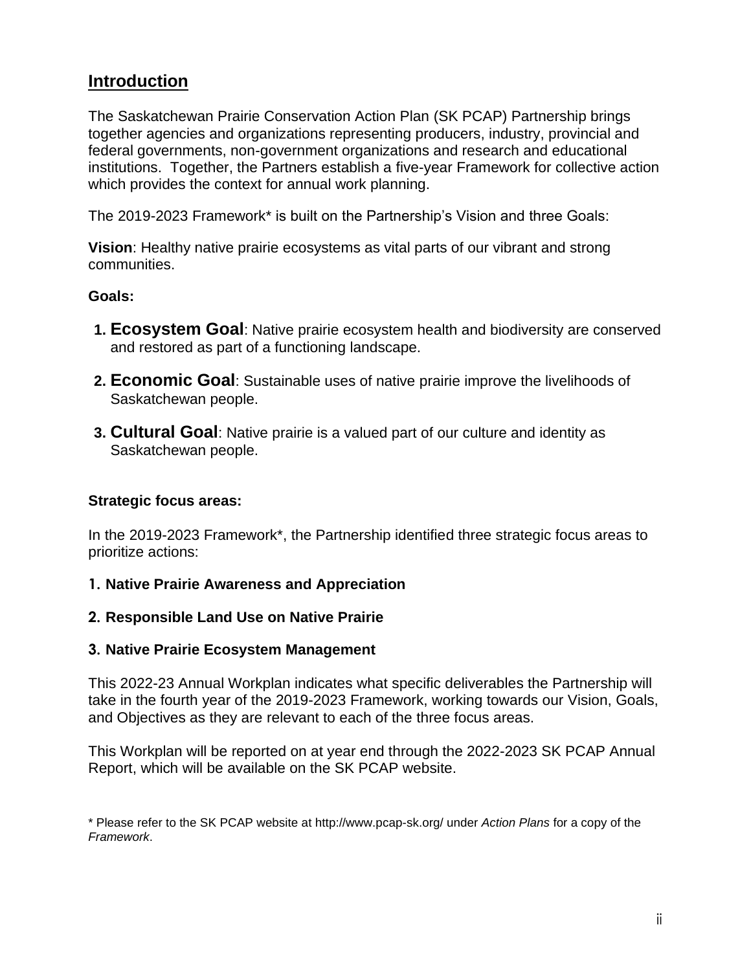#### **Introduction**

The Saskatchewan Prairie Conservation Action Plan (SK PCAP) Partnership brings together agencies and organizations representing producers, industry, provincial and federal governments, non-government organizations and research and educational institutions. Together, the Partners establish a five-year Framework for collective action which provides the context for annual work planning.

The 2019-2023 Framework\* is built on the Partnership's Vision and three Goals:

**Vision**: Healthy native prairie ecosystems as vital parts of our vibrant and strong communities.

#### **Goals:**

- **1. Ecosystem Goal**: Native prairie ecosystem health and biodiversity are conserved and restored as part of a functioning landscape.
- **2. Economic Goal**: Sustainable uses of native prairie improve the livelihoods of Saskatchewan people.
- **3. Cultural Goal**: Native prairie is a valued part of our culture and identity as Saskatchewan people.

#### **Strategic focus areas:**

In the 2019-2023 Framework\*, the Partnership identified three strategic focus areas to prioritize actions:

- **1. Native Prairie Awareness and Appreciation**
- **2. Responsible Land Use on Native Prairie**

#### **3. Native Prairie Ecosystem Management**

This 2022-23 Annual Workplan indicates what specific deliverables the Partnership will take in the fourth year of the 2019-2023 Framework, working towards our Vision, Goals, and Objectives as they are relevant to each of the three focus areas.

This Workplan will be reported on at year end through the 2022-2023 SK PCAP Annual Report, which will be available on the SK PCAP website.

\* Please refer to the SK PCAP website at http://www.pcap-sk.org/ under *Action Plans* for a copy of the *Framework*.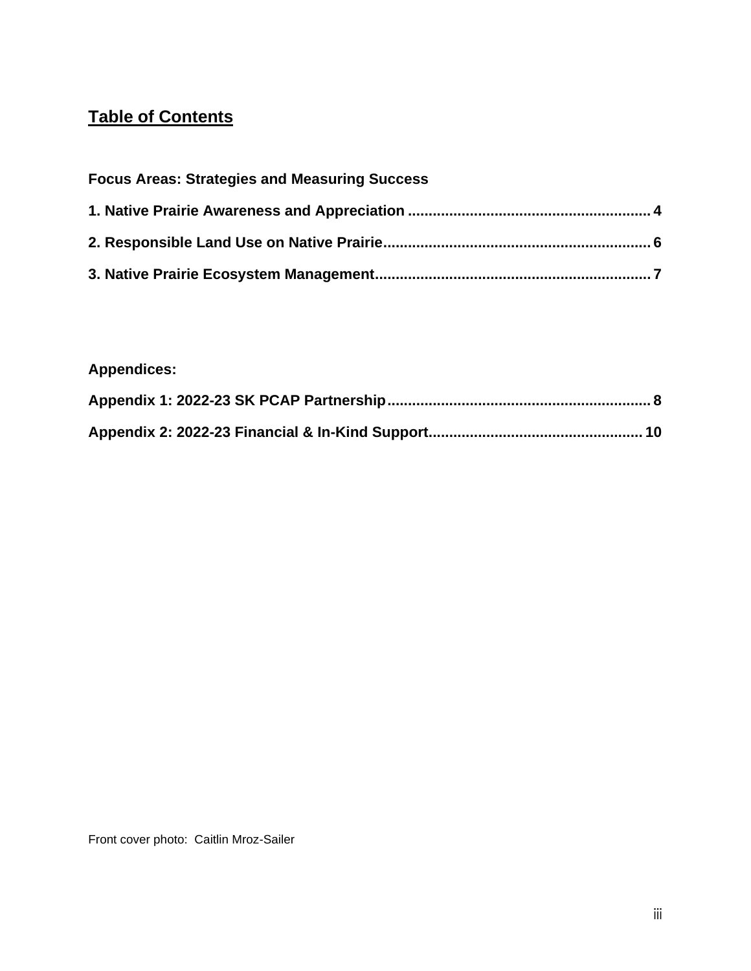## **Table of Contents**

| <b>Focus Areas: Strategies and Measuring Success</b> |  |
|------------------------------------------------------|--|
|                                                      |  |
|                                                      |  |
|                                                      |  |

## **Appendices:**

Front cover photo: Caitlin Mroz-Sailer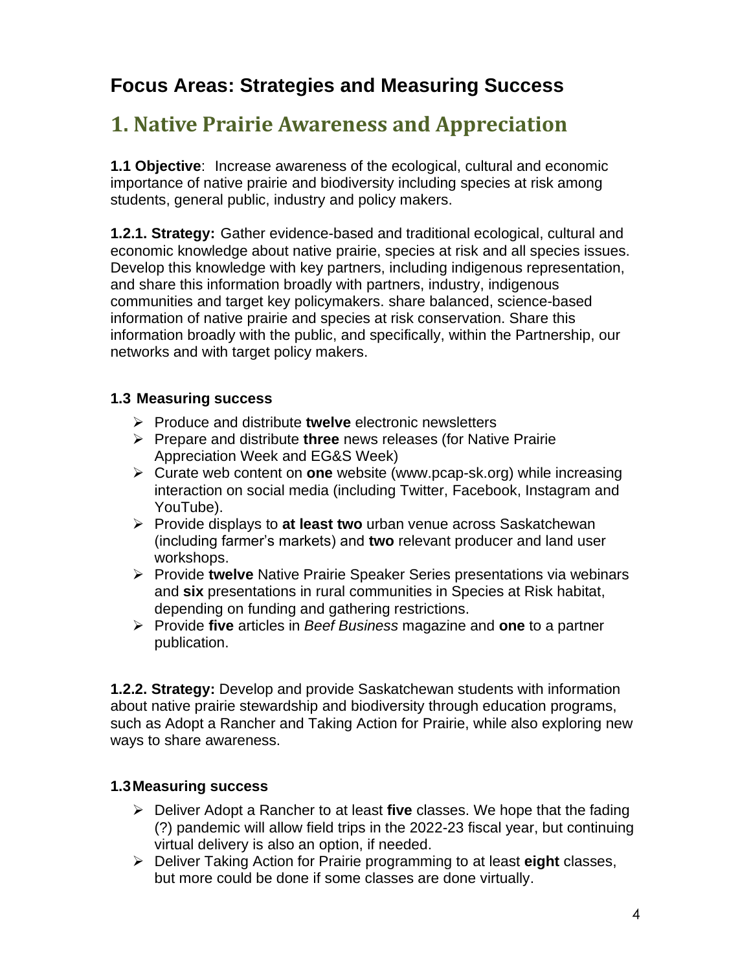# <span id="page-3-0"></span>**Focus Areas: Strategies and Measuring Success**

# **1. Native Prairie Awareness and Appreciation**

**1.1 Objective**:Increase awareness of the ecological, cultural and economic importance of native prairie and biodiversity including species at risk among students, general public, industry and policy makers.

**1.2.1. Strategy:** Gather evidence-based and traditional ecological, cultural and economic knowledge about native prairie, species at risk and all species issues. Develop this knowledge with key partners, including indigenous representation, and share this information broadly with partners, industry, indigenous communities and target key policymakers. share balanced, science-based information of native prairie and species at risk conservation. Share this information broadly with the public, and specifically, within the Partnership, our networks and with target policy makers.

#### **1.3 Measuring success**

- ➢ Produce and distribute **twelve** electronic newsletters
- ➢ Prepare and distribute **three** news releases (for Native Prairie Appreciation Week and EG&S Week)
- ➢ Curate web content on **one** website [\(www.pcap-sk.org\)](http://www.pcap-sk.org/) while increasing interaction on social media (including Twitter, Facebook, Instagram and YouTube).
- ➢ Provide displays to **at least two** urban venue across Saskatchewan (including farmer's markets) and **two** relevant producer and land user workshops.
- ➢ Provide **twelve** Native Prairie Speaker Series presentations via webinars and **six** presentations in rural communities in Species at Risk habitat, depending on funding and gathering restrictions.
- ➢ Provide **five** articles in *Beef Business* magazine and **one** to a partner publication.

**1.2.2. Strategy:** Develop and provide Saskatchewan students with information about native prairie stewardship and biodiversity through education programs, such as Adopt a Rancher and Taking Action for Prairie, while also exploring new ways to share awareness.

#### **1.3Measuring success**

- ➢ Deliver Adopt a Rancher to at least **five** classes. We hope that the fading (?) pandemic will allow field trips in the 2022-23 fiscal year, but continuing virtual delivery is also an option, if needed.
- ➢ Deliver Taking Action for Prairie programming to at least **eight** classes, but more could be done if some classes are done virtually.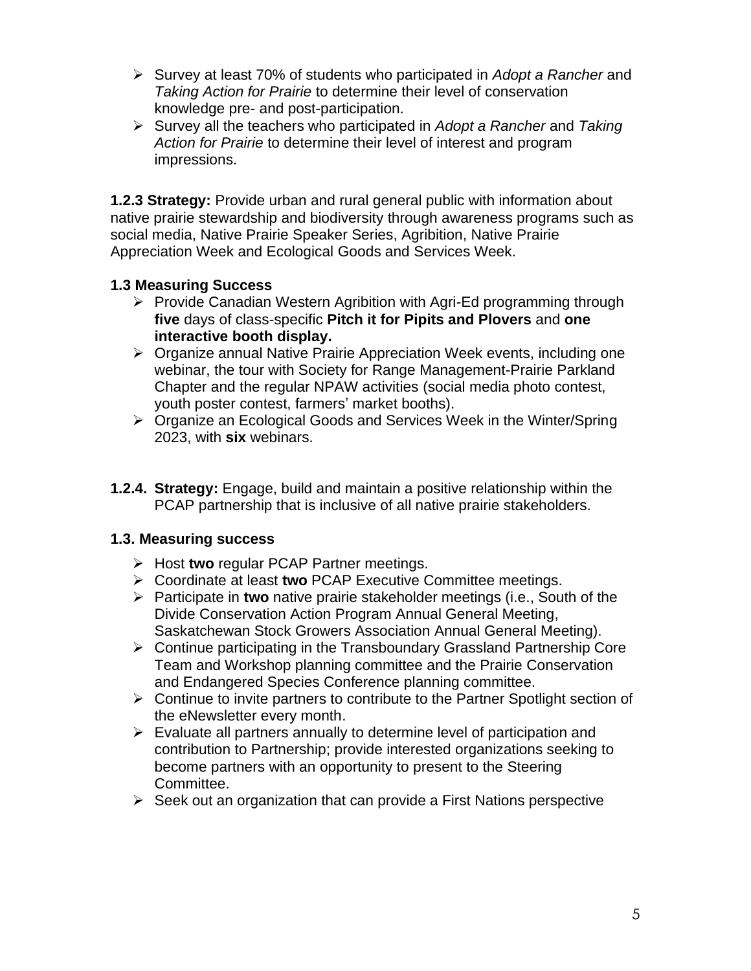- ➢ Survey at least 70% of students who participated in *Adopt a Rancher* and *Taking Action for Prairie* to determine their level of conservation knowledge pre- and post-participation.
- ➢ Survey all the teachers who participated in *Adopt a Rancher* and *Taking Action for Prairie* to determine their level of interest and program impressions.

**1.2.3 Strategy:** Provide urban and rural general public with information about native prairie stewardship and biodiversity through awareness programs such as social media, Native Prairie Speaker Series, Agribition, Native Prairie Appreciation Week and Ecological Goods and Services Week.

#### **1.3 Measuring Success**

- ➢ Provide Canadian Western Agribition with Agri-Ed programming through **five** days of class-specific **Pitch it for Pipits and Plovers** and **one interactive booth display.**
- ➢ Organize annual Native Prairie Appreciation Week events, including one webinar, the tour with Society for Range Management-Prairie Parkland Chapter and the regular NPAW activities (social media photo contest, youth poster contest, farmers' market booths).
- ➢ Organize an Ecological Goods and Services Week in the Winter/Spring 2023, with **six** webinars.
- **1.2.4. Strategy:** Engage, build and maintain a positive relationship within the PCAP partnership that is inclusive of all native prairie stakeholders.

#### **1.3. Measuring success**

- ➢ Host **two** regular PCAP Partner meetings.
- ➢ Coordinate at least **two** PCAP Executive Committee meetings.
- ➢ Participate in **two** native prairie stakeholder meetings (i.e., South of the Divide Conservation Action Program Annual General Meeting, Saskatchewan Stock Growers Association Annual General Meeting).
- ➢ Continue participating in the Transboundary Grassland Partnership Core Team and Workshop planning committee and the Prairie Conservation and Endangered Species Conference planning committee.
- ➢ Continue to invite partners to contribute to the Partner Spotlight section of the eNewsletter every month.
- ➢ Evaluate all partners annually to determine level of participation and contribution to Partnership; provide interested organizations seeking to become partners with an opportunity to present to the Steering Committee.
- $\triangleright$  Seek out an organization that can provide a First Nations perspective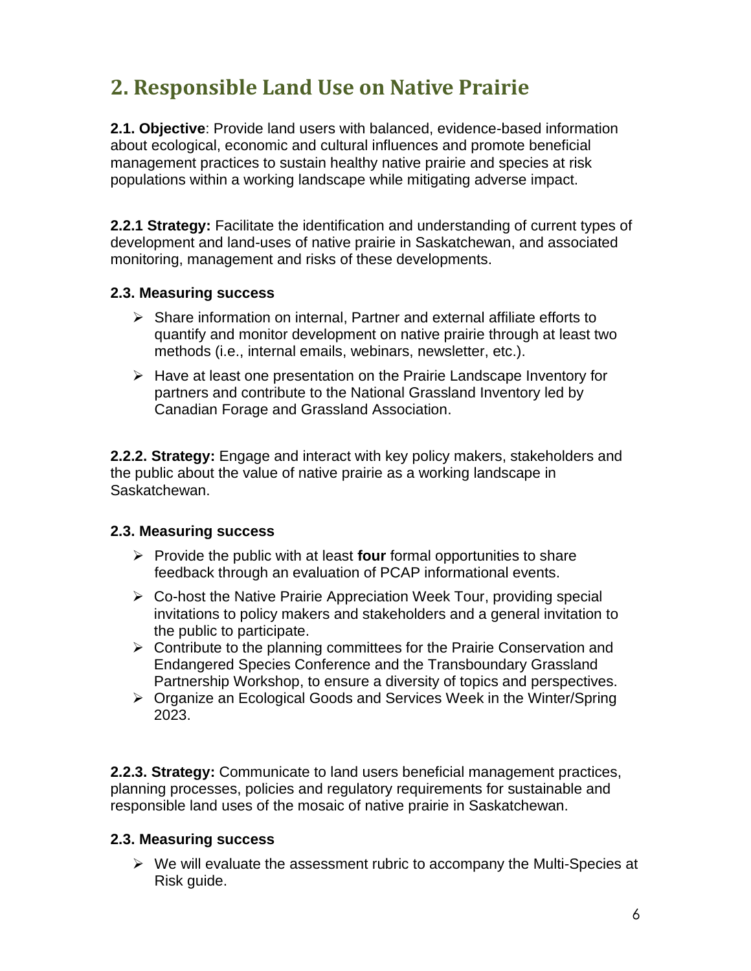# <span id="page-5-0"></span>**2. Responsible Land Use on Native Prairie**

**2.1. Objective**: Provide land users with balanced, evidence-based information about ecological, economic and cultural influences and promote beneficial management practices to sustain healthy native prairie and species at risk populations within a working landscape while mitigating adverse impact.

**2.2.1 Strategy:** Facilitate the identification and understanding of current types of development and land-uses of native prairie in Saskatchewan, and associated monitoring, management and risks of these developments.

#### **2.3. Measuring success**

- ➢ Share information on internal, Partner and external affiliate efforts to quantify and monitor development on native prairie through at least two methods (i.e., internal emails, webinars, newsletter, etc.).
- $\triangleright$  Have at least one presentation on the Prairie Landscape Inventory for partners and contribute to the National Grassland Inventory led by Canadian Forage and Grassland Association.

**2.2.2. Strategy:** Engage and interact with key policy makers, stakeholders and the public about the value of native prairie as a working landscape in Saskatchewan.

#### **2.3. Measuring success**

- ➢ Provide the public with at least **four** formal opportunities to share feedback through an evaluation of PCAP informational events.
- $\triangleright$  Co-host the Native Prairie Appreciation Week Tour, providing special invitations to policy makers and stakeholders and a general invitation to the public to participate.
- ➢ Contribute to the planning committees for the Prairie Conservation and Endangered Species Conference and the Transboundary Grassland Partnership Workshop, to ensure a diversity of topics and perspectives.
- ➢ Organize an Ecological Goods and Services Week in the Winter/Spring 2023.

**2.2.3. Strategy:** Communicate to land users beneficial management practices, planning processes, policies and regulatory requirements for sustainable and responsible land uses of the mosaic of native prairie in Saskatchewan.

#### **2.3. Measuring success**

 $\triangleright$  We will evaluate the assessment rubric to accompany the Multi-Species at Risk guide.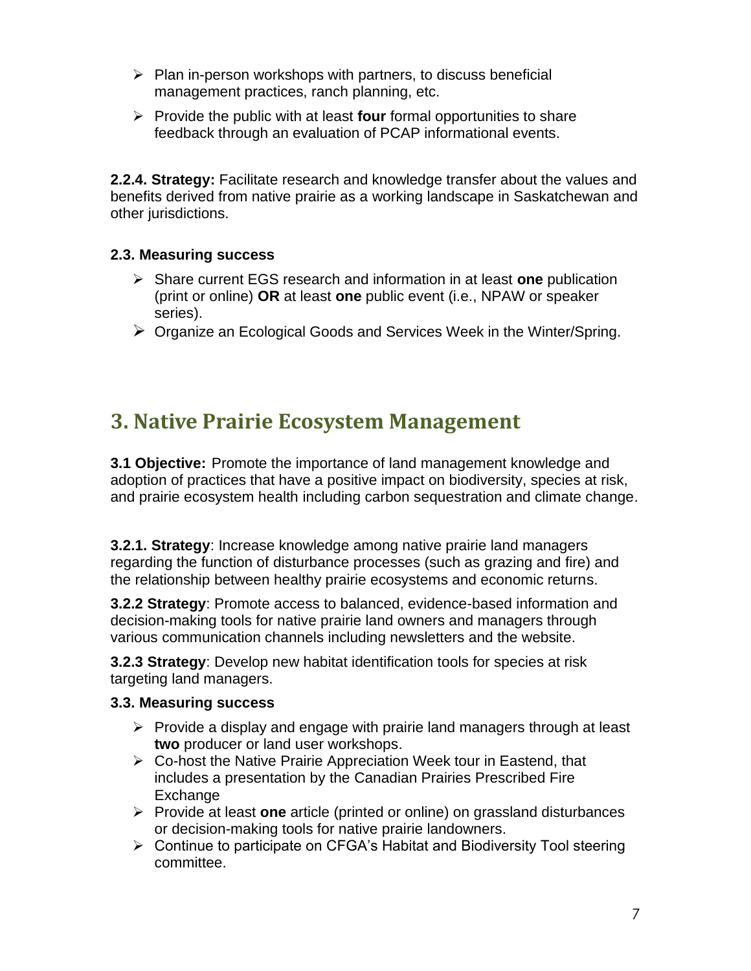- $\triangleright$  Plan in-person workshops with partners, to discuss beneficial management practices, ranch planning, etc.
- ➢ Provide the public with at least **four** formal opportunities to share feedback through an evaluation of PCAP informational events.

**2.2.4. Strategy:** Facilitate research and knowledge transfer about the values and benefits derived from native prairie as a working landscape in Saskatchewan and other jurisdictions.

#### **2.3. Measuring success**

- ➢ Share current EGS research and information in at least **one** publication (print or online) **OR** at least **one** public event (i.e., NPAW or speaker series).
- <span id="page-6-0"></span>➢ Organize an Ecological Goods and Services Week in the Winter/Spring.

## **3. Native Prairie Ecosystem Management**

**3.1 Objective:** Promote the importance of land management knowledge and adoption of practices that have a positive impact on biodiversity, species at risk, and prairie ecosystem health including carbon sequestration and climate change.

**3.2.1. Strategy**: Increase knowledge among native prairie land managers regarding the function of disturbance processes (such as grazing and fire) and the relationship between healthy prairie ecosystems and economic returns.

**3.2.2 Strategy**: Promote access to balanced, evidence-based information and decision-making tools for native prairie land owners and managers through various communication channels including newsletters and the website.

**3.2.3 Strategy**: Develop new habitat identification tools for species at risk targeting land managers.

#### **3.3. Measuring success**

- ➢ Provide a display and engage with prairie land managers through at least **two** producer or land user workshops.
- ➢ Co-host the Native Prairie Appreciation Week tour in Eastend, that includes a presentation by the Canadian Prairies Prescribed Fire Exchange
- ➢ Provide at least **one** article (printed or online) on grassland disturbances or decision-making tools for native prairie landowners.
- ➢ Continue to participate on CFGA's Habitat and Biodiversity Tool steering committee.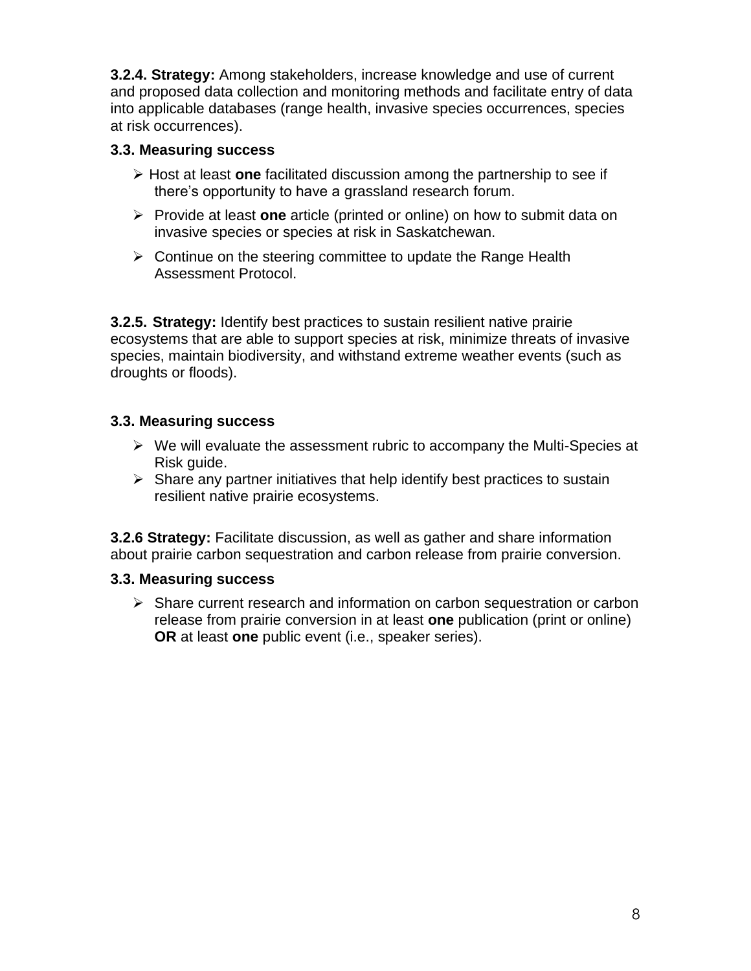**3.2.4. Strategy:** Among stakeholders, increase knowledge and use of current and proposed data collection and monitoring methods and facilitate entry of data into applicable databases (range health, invasive species occurrences, species at risk occurrences).

#### **3.3. Measuring success**

- ➢ Host at least **one** facilitated discussion among the partnership to see if there's opportunity to have a grassland research forum.
- ➢ Provide at least **one** article (printed or online) on how to submit data on invasive species or species at risk in Saskatchewan.
- $\triangleright$  Continue on the steering committee to update the Range Health Assessment Protocol.

**3.2.5. Strategy:** Identify best practices to sustain resilient native prairie ecosystems that are able to support species at risk, minimize threats of invasive species, maintain biodiversity, and withstand extreme weather events (such as droughts or floods).

#### <span id="page-7-0"></span>**3.3. Measuring success**

- $\triangleright$  We will evaluate the assessment rubric to accompany the Multi-Species at Risk guide.
- $\triangleright$  Share any partner initiatives that help identify best practices to sustain resilient native prairie ecosystems.

**3.2.6 Strategy:** Facilitate discussion, as well as gather and share information about prairie carbon sequestration and carbon release from prairie conversion.

#### **3.3. Measuring success**

➢ Share current research and information on carbon sequestration or carbon release from prairie conversion in at least **one** publication (print or online) **OR** at least **one** public event (i.e., speaker series).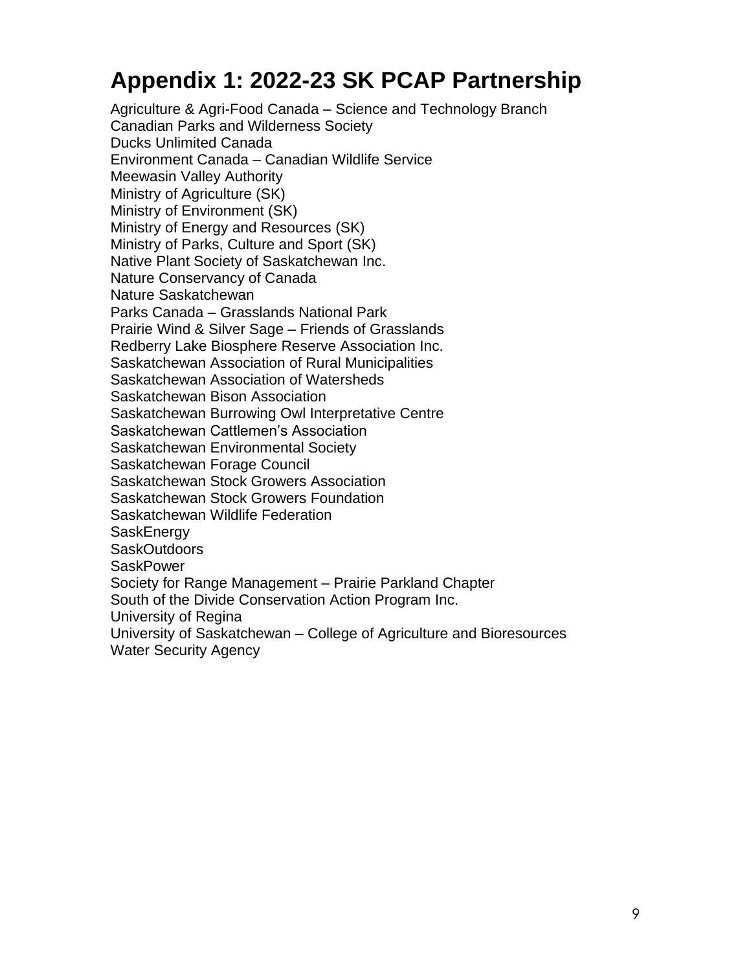# **Appendix 1: 2022-23 SK PCAP Partnership**

<span id="page-8-0"></span>Agriculture & Agri-Food Canada – Science and Technology Branch Canadian Parks and Wilderness Society Ducks Unlimited Canada Environment Canada – Canadian Wildlife Service Meewasin Valley Authority Ministry of Agriculture (SK) Ministry of Environment (SK) Ministry of Energy and Resources (SK) Ministry of Parks, Culture and Sport (SK) Native Plant Society of Saskatchewan Inc. Nature Conservancy of Canada Nature Saskatchewan Parks Canada – Grasslands National Park Prairie Wind & Silver Sage – Friends of Grasslands Redberry Lake Biosphere Reserve Association Inc. Saskatchewan Association of Rural Municipalities Saskatchewan Association of Watersheds Saskatchewan Bison Association Saskatchewan Burrowing Owl Interpretative Centre Saskatchewan Cattlemen's Association Saskatchewan Environmental Society Saskatchewan Forage Council Saskatchewan Stock Growers Association Saskatchewan Stock Growers Foundation Saskatchewan Wildlife Federation **SaskEnergy** SaskOutdoors **SaskPower** Society for Range Management – Prairie Parkland Chapter South of the Divide Conservation Action Program Inc. University of Regina University of Saskatchewan – College of Agriculture and Bioresources Water Security Agency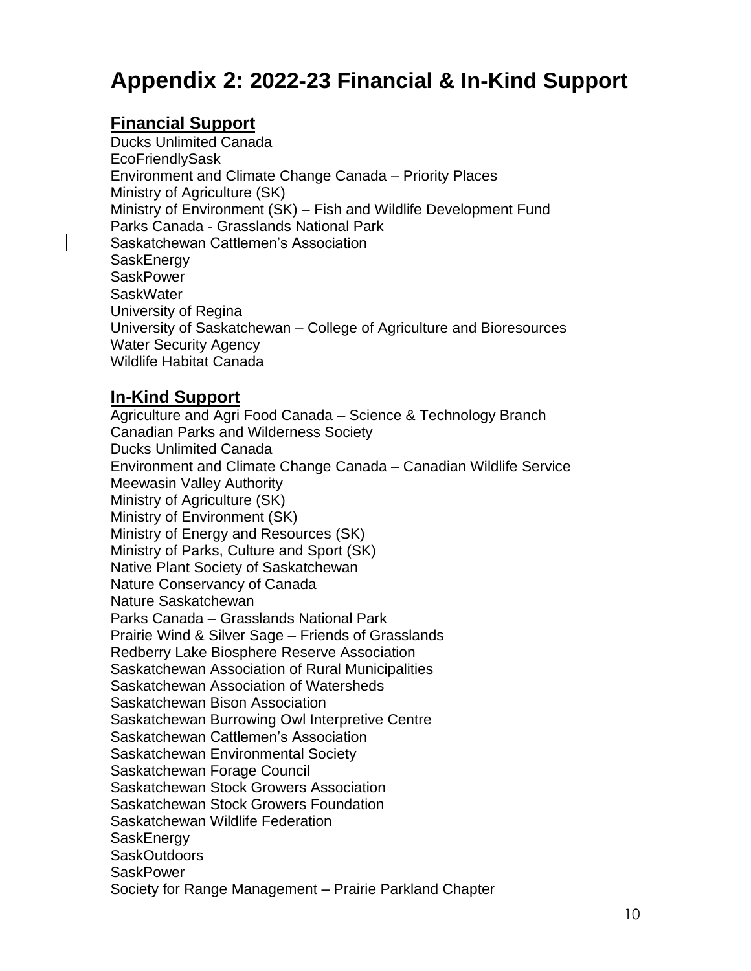# **Appendix 2: 2022-23 Financial & In-Kind Support**

### **Financial Support**

Ducks Unlimited Canada EcoFriendlySask Environment and Climate Change Canada – Priority Places Ministry of Agriculture (SK) Ministry of Environment (SK) – Fish and Wildlife Development Fund Parks Canada - Grasslands National Park Saskatchewan Cattlemen's Association **SaskEnergy SaskPower** SaskWater University of Regina University of Saskatchewan – College of Agriculture and Bioresources Water Security Agency Wildlife Habitat Canada

#### **In-Kind Support**

Agriculture and Agri Food Canada – Science & Technology Branch Canadian Parks and Wilderness Society Ducks Unlimited Canada Environment and Climate Change Canada – Canadian Wildlife Service Meewasin Valley Authority Ministry of Agriculture (SK) Ministry of Environment (SK) Ministry of Energy and Resources (SK) Ministry of Parks, Culture and Sport (SK) Native Plant Society of Saskatchewan Nature Conservancy of Canada Nature Saskatchewan Parks Canada – Grasslands National Park Prairie Wind & Silver Sage – Friends of Grasslands Redberry Lake Biosphere Reserve Association Saskatchewan Association of Rural Municipalities Saskatchewan Association of Watersheds Saskatchewan Bison Association Saskatchewan Burrowing Owl Interpretive Centre Saskatchewan Cattlemen's Association Saskatchewan Environmental Society Saskatchewan Forage Council Saskatchewan Stock Growers Association Saskatchewan Stock Growers Foundation Saskatchewan Wildlife Federation **SaskEnergy** SaskOutdoors **SaskPower**